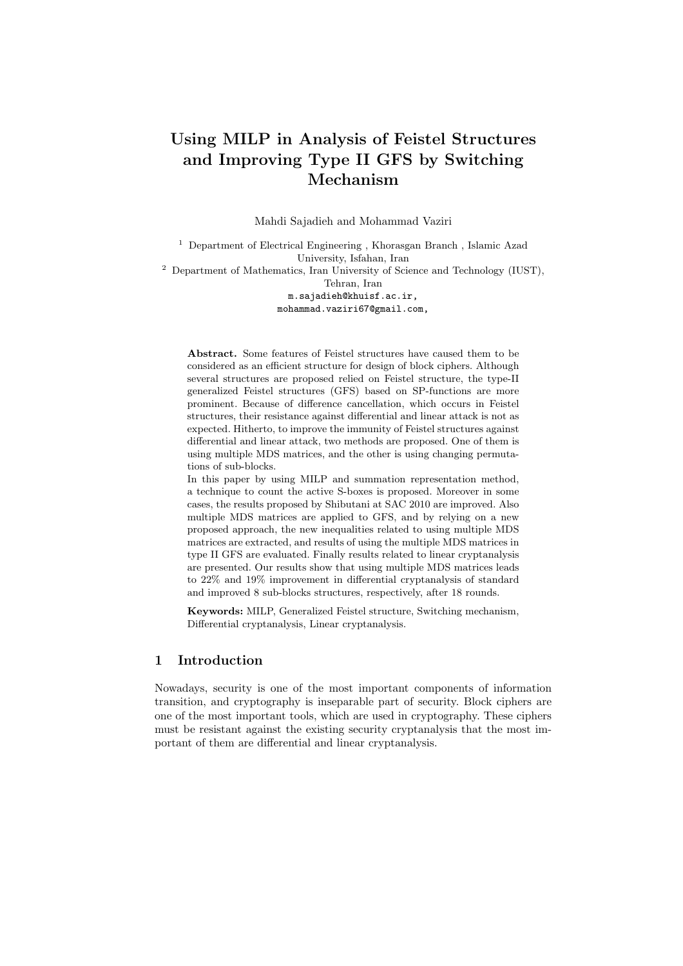# **Using MILP in Analysis of Feistel Structures and Improving Type II GFS by Switching Mechanism**

Mahdi Sajadieh and Mohammad Vaziri

<sup>1</sup> Department of Electrical Engineering , Khorasgan Branch , Islamic Azad University, Isfahan, Iran

<sup>2</sup> Department of Mathematics, Iran University of Science and Technology (IUST), Tehran, Iran

m.sajadieh@khuisf.ac.ir, mohammad.vaziri67@gmail.com,

**Abstract.** Some features of Feistel structures have caused them to be considered as an efficient structure for design of block ciphers. Although several structures are proposed relied on Feistel structure, the type-II generalized Feistel structures (GFS) based on SP-functions are more prominent. Because of difference cancellation, which occurs in Feistel structures, their resistance against differential and linear attack is not as expected. Hitherto, to improve the immunity of Feistel structures against differential and linear attack, two methods are proposed. One of them is using multiple MDS matrices, and the other is using changing permutations of sub-blocks.

In this paper by using MILP and summation representation method, a technique to count the active S-boxes is proposed. Moreover in some cases, the results proposed by Shibutani at SAC 2010 are improved. Also multiple MDS matrices are applied to GFS, and by relying on a new proposed approach, the new inequalities related to using multiple MDS matrices are extracted, and results of using the multiple MDS matrices in type II GFS are evaluated. Finally results related to linear cryptanalysis are presented. Our results show that using multiple MDS matrices leads to 22% and 19% improvement in differential cryptanalysis of standard and improved 8 sub-blocks structures, respectively, after 18 rounds.

**Keywords:** MILP, Generalized Feistel structure, Switching mechanism, Differential cryptanalysis, Linear cryptanalysis.

# **1 Introduction**

Nowadays, security is one of the most important components of information transition, and cryptography is inseparable part of security. Block ciphers are one of the most important tools, which are used in cryptography. These ciphers must be resistant against the existing security cryptanalysis that the most important of them are differential and linear cryptanalysis.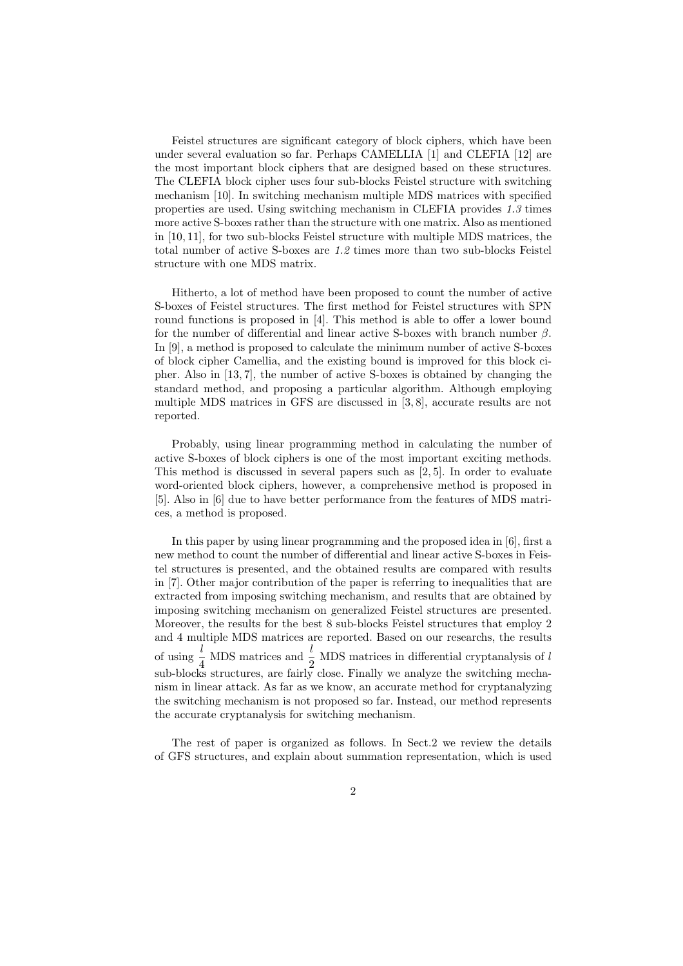Feistel structures are significant category of block ciphers, which have been under several evaluation so far. Perhaps CAMELLIA [1] and CLEFIA [12] are the most important block ciphers that are designed based on these structures. The CLEFIA block cipher uses four sub-blocks Feistel structure with switching mechanism [10]. In switching mechanism multiple MDS matrices with specified properties are used. Using switching mechanism in CLEFIA provides *1.3* times more active S-boxes rather than the structure with one matrix. Also as mentioned in [10, 11], for two sub-blocks Feistel structure with multiple MDS matrices, the total number of active S-boxes are *1.2* times more than two sub-blocks Feistel structure with one MDS matrix.

Hitherto, a lot of method have been proposed to count the number of active S-boxes of Feistel structures. The first method for Feistel structures with SPN round functions is proposed in [4]. This method is able to offer a lower bound for the number of differential and linear active S-boxes with branch number *β*. In [9], a method is proposed to calculate the minimum number of active S-boxes of block cipher Camellia, and the existing bound is improved for this block cipher. Also in [13, 7], the number of active S-boxes is obtained by changing the standard method, and proposing a particular algorithm. Although employing multiple MDS matrices in GFS are discussed in [3, 8], accurate results are not reported.

Probably, using linear programming method in calculating the number of active S-boxes of block ciphers is one of the most important exciting methods. This method is discussed in several papers such as [2, 5]. In order to evaluate word-oriented block ciphers, however, a comprehensive method is proposed in [5]. Also in [6] due to have better performance from the features of MDS matrices, a method is proposed.

In this paper by using linear programming and the proposed idea in [6], first a new method to count the number of differential and linear active S-boxes in Feistel structures is presented, and the obtained results are compared with results in [7]. Other major contribution of the paper is referring to inequalities that are extracted from imposing switching mechanism, and results that are obtained by imposing switching mechanism on generalized Feistel structures are presented. Moreover, the results for the best 8 sub-blocks Feistel structures that employ 2 and 4 multiple MDS matrices are reported. Based on our researchs, the results of using  $\frac{l}{4}$  MDS matrices and  $\frac{l}{2}$  MDS matrices in differential cryptanalysis of *l* sub-blocks structures, are fairly close. Finally we analyze the switching mechanism in linear attack. As far as we know, an accurate method for cryptanalyzing the switching mechanism is not proposed so far. Instead, our method represents the accurate cryptanalysis for switching mechanism.

The rest of paper is organized as follows. In Sect.2 we review the details of GFS structures, and explain about summation representation, which is used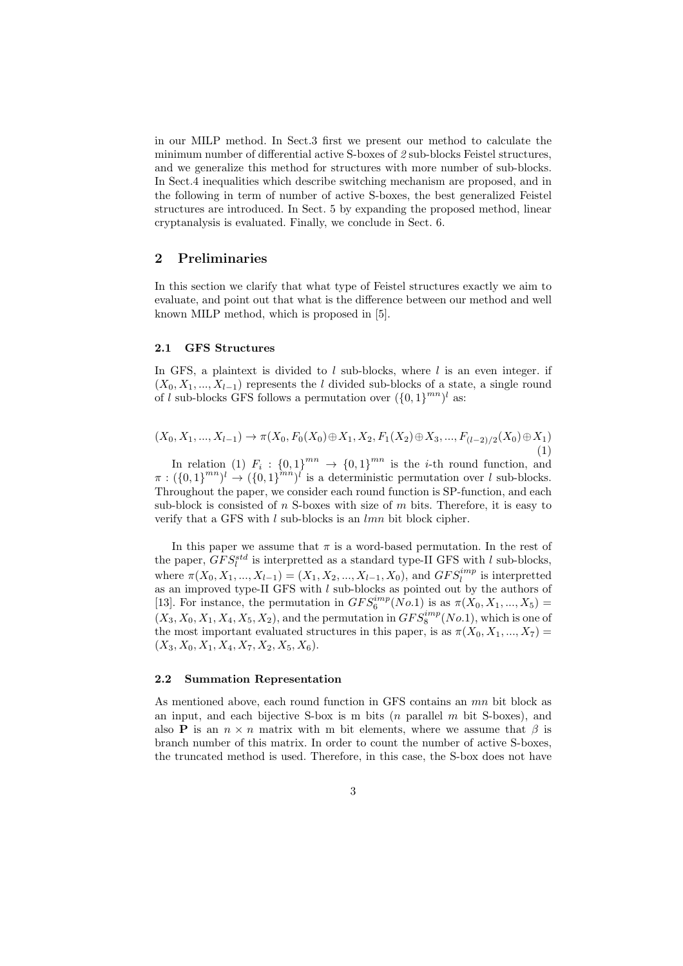in our MILP method. In Sect.3 first we present our method to calculate the minimum number of differential active S-boxes of *2* sub-blocks Feistel structures, and we generalize this method for structures with more number of sub-blocks. In Sect.4 inequalities which describe switching mechanism are proposed, and in the following in term of number of active S-boxes, the best generalized Feistel structures are introduced. In Sect. 5 by expanding the proposed method, linear cryptanalysis is evaluated. Finally, we conclude in Sect. 6.

## **2 Preliminaries**

In this section we clarify that what type of Feistel structures exactly we aim to evaluate, and point out that what is the difference between our method and well known MILP method, which is proposed in [5].

## **2.1 GFS Structures**

In GFS, a plaintext is divided to *l* sub-blocks, where *l* is an even integer. if  $(X_0, X_1, \ldots, X_{l-1})$  represents the *l* divided sub-blocks of a state, a single round of *l* sub-blocks GFS follows a permutation over  $({0, 1})^{mn}$  as:

$$
(X_0, X_1, ..., X_{l-1}) \to \pi(X_0, F_0(X_0) \oplus X_1, X_2, F_1(X_2) \oplus X_3, ..., F_{(l-2)/2}(X_0) \oplus X_1)
$$
\n(1)

In relation (1)  $F_i: \{0,1\}^{mn} \rightarrow \{0,1\}^{mn}$  is the *i*-th round function, and  $\pi : (\{0,1\}^{mn})^l \to (\{0,1\}^{mn})^l$  is a deterministic permutation over *l* sub-blocks. Throughout the paper, we consider each round function is SP-function, and each sub-block is consisted of *n* S-boxes with size of *m* bits. Therefore, it is easy to verify that a GFS with *l* sub-blocks is an *lmn* bit block cipher.

In this paper we assume that  $\pi$  is a word-based permutation. In the rest of the paper,  $GFS_l^{std}$  is interpretted as a standard type-II GFS with  $l$  sub-blocks, where  $\pi(X_0, X_1, ..., X_{l-1}) = (X_1, X_2, ..., X_{l-1}, X_0)$ , and  $GFS_l^{imp}$  is interpretted as an improved type-II GFS with *l* sub-blocks as pointed out by the authors of [13]. For instance, the permutation in  $GFS_6^{imp}(No.1)$  is as  $\pi(X_0, X_1, ..., X_5)$  =  $(X_3, X_0, X_1, X_4, X_5, X_2)$ , and the permutation in  $GFS_8^{imp}(No.1)$ , which is one of the most important evaluated structures in this paper, is as  $\pi(X_0, X_1, ..., X_7)$  $(X_3, X_0, X_1, X_4, X_7, X_2, X_5, X_6).$ 

#### **2.2 Summation Representation**

As mentioned above, each round function in GFS contains an *mn* bit block as an input, and each bijective S-box is m bits (*n* parallel *m* bit S-boxes), and also **P** is an  $n \times n$  matrix with m bit elements, where we assume that  $\beta$  is branch number of this matrix. In order to count the number of active S-boxes, the truncated method is used. Therefore, in this case, the S-box does not have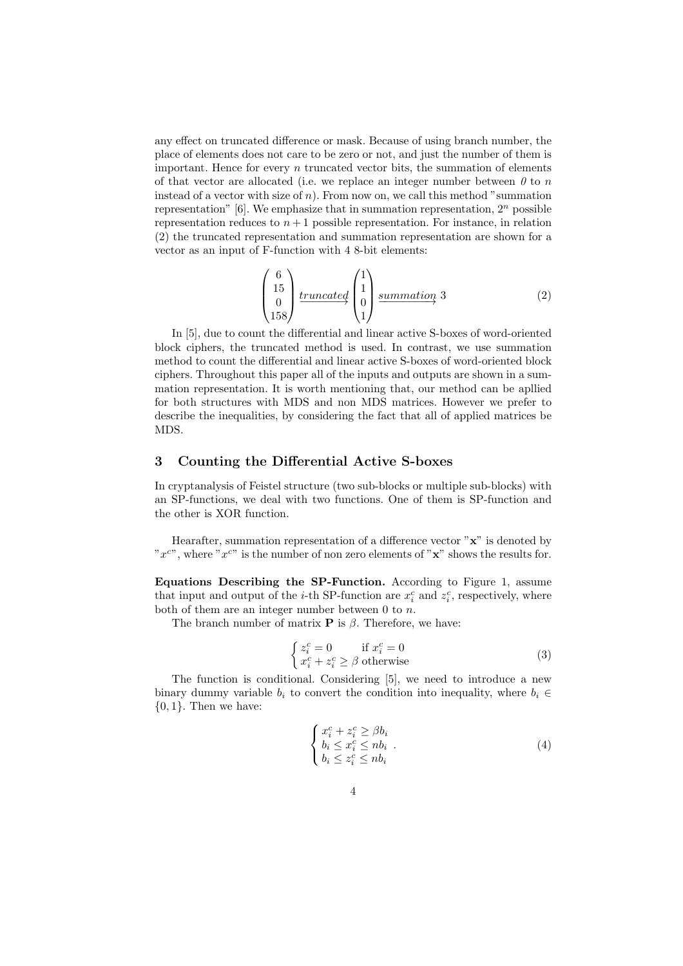any effect on truncated difference or mask. Because of using branch number, the place of elements does not care to be zero or not, and just the number of them is important. Hence for every *n* truncated vector bits, the summation of elements of that vector are allocated (i.e. we replace an integer number between *0* to *n* instead of a vector with size of *n*). From now on, we call this method "summation representation" [6]. We emphasize that in summation representation, 2*<sup>n</sup>* possible representation reduces to  $n+1$  possible representation. For instance, in relation (2) the truncated representation and summation representation are shown for a vector as an input of F-function with 4 8-bit elements:

$$
\begin{pmatrix} 6\\15\\0\\158 \end{pmatrix} \frac{truncated}{1} \begin{pmatrix} 1\\1\\0\\1 \end{pmatrix} \frac{summation}{3} \quad (2)
$$

In [5], due to count the differential and linear active S-boxes of word-oriented block ciphers, the truncated method is used. In contrast, we use summation method to count the differential and linear active S-boxes of word-oriented block ciphers. Throughout this paper all of the inputs and outputs are shown in a summation representation. It is worth mentioning that, our method can be apllied for both structures with MDS and non MDS matrices. However we prefer to describe the inequalities, by considering the fact that all of applied matrices be MDS.

## **3 Counting the Differential Active S-boxes**

In cryptanalysis of Feistel structure (two sub-blocks or multiple sub-blocks) with an SP-functions, we deal with two functions. One of them is SP-function and the other is XOR function.

Hearafter, summation representation of a difference vector "**x**" is denoted by "*x <sup>c</sup>*", where "*x <sup>c</sup>*" is the number of non zero elements of "**x**" shows the results for.

**Equations Describing the SP-Function.** According to Figure 1, assume that input and output of the *i*-th SP-function are  $x_i^c$  and  $z_i^c$ , respectively, where both of them are an integer number between 0 to *n*.

The branch number of matrix **P** is *β*. Therefore, we have:

$$
\begin{cases} z_i^c = 0 & \text{if } x_i^c = 0\\ x_i^c + z_i^c \ge \beta \text{ otherwise} \end{cases}
$$
 (3)

The function is conditional. Considering [5], we need to introduce a new binary dummy variable  $b_i$  to convert the condition into inequality, where  $b_i \in$ *{*0*,* 1*}*. Then we have:

$$
\begin{cases}\nx_i^c + z_i^c \ge \beta b_i \\
b_i \le x_i^c \le nb_i \\
b_i \le z_i^c \le nb_i\n\end{cases} .
$$
\n(4)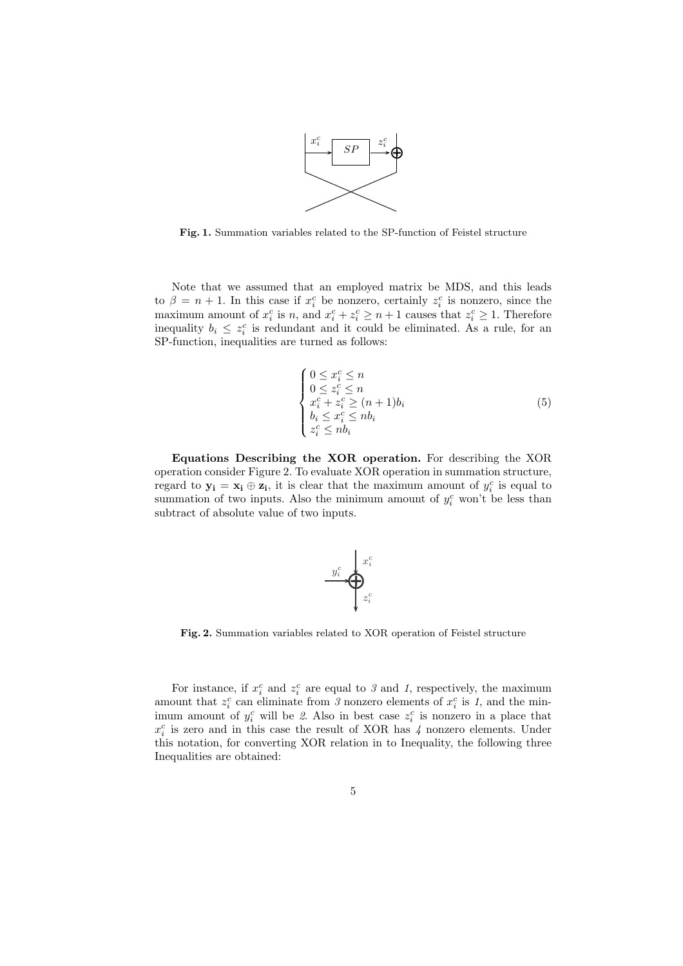

**Fig. 1.** Summation variables related to the SP-function of Feistel structure

Note that we assumed that an employed matrix be MDS, and this leads to  $\beta = n + 1$ . In this case if  $x_i^c$  be nonzero, certainly  $z_i^c$  is nonzero, since the maximum amount of  $x_i^c$  is *n*, and  $x_i^c + z_i^c \geq n + 1$  causes that  $z_i^c \geq 1$ . Therefore inequality  $b_i \leq z_i^c$  is redundant and it could be eliminated. As a rule, for an SP-function, inequalities are turned as follows:

$$
\begin{cases}\n0 \leq x_i^c \leq n \\
0 \leq z_i^c \leq n \\
x_i^c + z_i^c \geq (n+1)b_i \\
b_i \leq x_i^c \leq nb_i \\
z_i^c \leq nb_i\n\end{cases} (5)
$$

**Equations Describing the XOR operation.** For describing the XOR operation consider Figure 2. To evaluate XOR operation in summation structure, regard to  $y_i = x_i \oplus z_i$ , it is clear that the maximum amount of  $y_i^c$  is equal to summation of two inputs. Also the minimum amount of  $y_i^c$  won't be less than subtract of absolute value of two inputs.



**Fig. 2.** Summation variables related to XOR operation of Feistel structure

For instance, if  $x_i^c$  and  $z_i^c$  are equal to  $\beta$  and  $\beta$ , respectively, the maximum amount that  $z_i^c$  can eliminate from *3* nonzero elements of  $x_i^c$  is *1*, and the minimum amount of  $y_i^c$  will be 2. Also in best case  $z_i^c$  is nonzero in a place that  $x_i^c$  is zero and in this case the result of XOR has  $\lambda$  nonzero elements. Under this notation, for converting XOR relation in to Inequality, the following three Inequalities are obtained: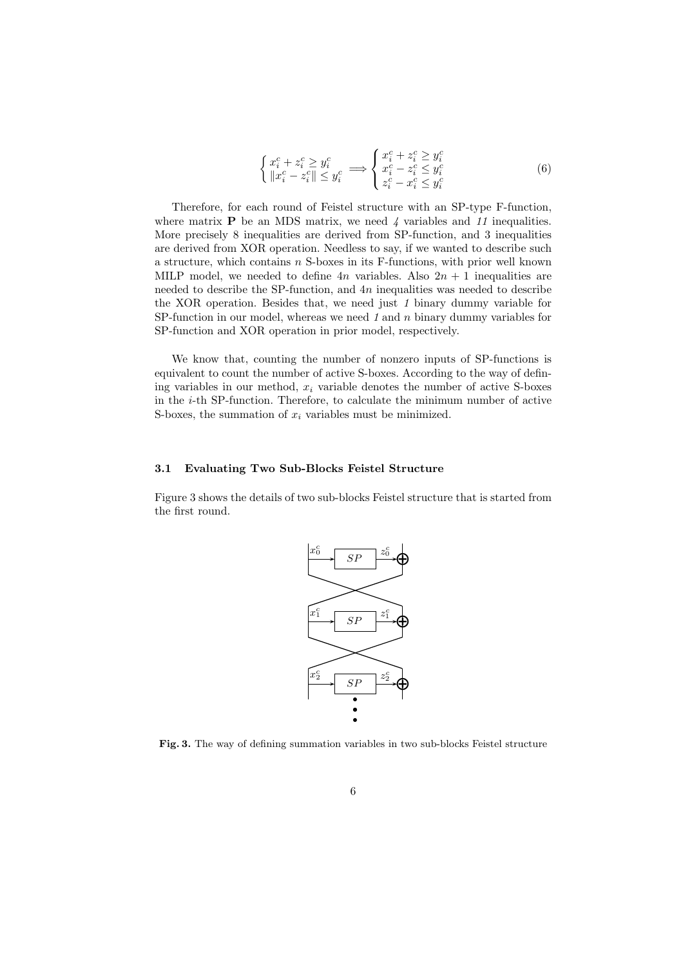$$
\begin{cases} x_i^c + z_i^c \ge y_i^c \\ \|x_i^c - z_i^c\| \le y_i^c \end{cases} \Longrightarrow \begin{cases} x_i^c + z_i^c \ge y_i^c \\ x_i^c - z_i^c \le y_i^c \\ z_i^c - x_i^c \le y_i^c \end{cases} \tag{6}
$$

Therefore, for each round of Feistel structure with an SP-type F-function, where matrix **P** be an MDS matrix, we need 4 variables and 11 inequalities. More precisely 8 inequalities are derived from SP-function, and 3 inequalities are derived from XOR operation. Needless to say, if we wanted to describe such a structure, which contains *n* S-boxes in its F-functions, with prior well known MILP model, we needed to define  $4n$  variables. Also  $2n + 1$  inequalities are needed to describe the SP-function, and 4*n* inequalities was needed to describe the XOR operation. Besides that, we need just *1* binary dummy variable for SP-function in our model, whereas we need *1* and *n* binary dummy variables for SP-function and XOR operation in prior model, respectively.

We know that, counting the number of nonzero inputs of SP-functions is equivalent to count the number of active S-boxes. According to the way of defining variables in our method,  $x_i$  variable denotes the number of active S-boxes in the *i*-th SP-function. Therefore, to calculate the minimum number of active S-boxes, the summation of *x<sup>i</sup>* variables must be minimized.

#### **3.1 Evaluating Two Sub-Blocks Feistel Structure**

Figure 3 shows the details of two sub-blocks Feistel structure that is started from the first round.



**Fig. 3.** The way of defining summation variables in two sub-blocks Feistel structure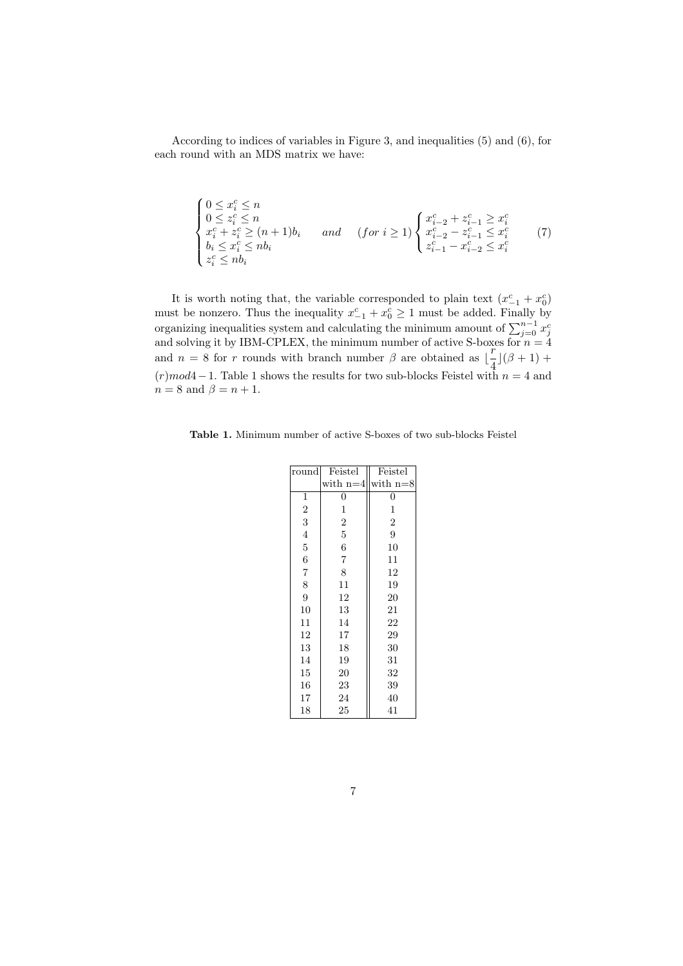According to indices of variables in Figure 3, and inequalities (5) and (6), for each round with an MDS matrix we have:

$$
\begin{cases}\n0 \leq x_i^c \leq n \\
0 \leq z_i^c \leq n \\
x_i^c + z_i^c \geq (n+1)b_i \\
b_i \leq x_i^c \leq nb_i\n\end{cases} \quad and \quad (for \ i \geq 1) \begin{cases}\nx_{i-2}^c + z_{i-1}^c \geq x_i^c \\
x_{i-2}^c - z_{i-1}^c \leq x_i^c \\
z_{i-1}^c - x_{i-2}^c \leq x_i^c\n\end{cases} (7)
$$

It is worth noting that, the variable corresponded to plain text  $(x_{-1}^c + x_0^c)$ must be nonzero. Thus the inequality  $x_{-1}^c + x_0^c \ge 1$  must be added. Finally by organizing inequalities system and calculating the minimum amount of  $\sum_{j=0}^{n-1} x_j^c$  and solving it by IBM-CPLEX, the minimum number of active S-boxes for  $n = 4$ and  $n = 8$  for *r* rounds with branch number  $\beta$  are obtained as  $\left[\frac{r}{4}\right]$  $\frac{1}{4}$ ]( $\beta + 1$ ) + (*r*)*mod*4*−*1. Table 1 shows the results for two sub-blocks Feistel with *n* = 4 and  $n = 8$  and  $\beta = n + 1$ .

**Table 1.** Minimum number of active S-boxes of two sub-blocks Feistel

| round | Feistel          | Feistel        |
|-------|------------------|----------------|
|       | with $n=4$       | with $n=8$     |
| 1     | 0                | 0              |
| 2     | 1                | 1              |
| 3     | $\boldsymbol{2}$ | $\overline{2}$ |
| 4     | 5                | 9              |
| 5     | 6                | 10             |
| 6     | $\overline{7}$   | 11             |
| 7     | 8                | 12             |
| 8     | 11               | 19             |
| 9     | 12               | 20             |
| 10    | 13               | 21             |
| 11    | 14               | 22             |
| 12    | 17               | 29             |
| 13    | 18               | 30             |
| 14    | 19               | 31             |
| 15    | 20               | 32             |
| 16    | 23               | 39             |
| 17    | 24               | 40             |
| 18    | 25               | 41             |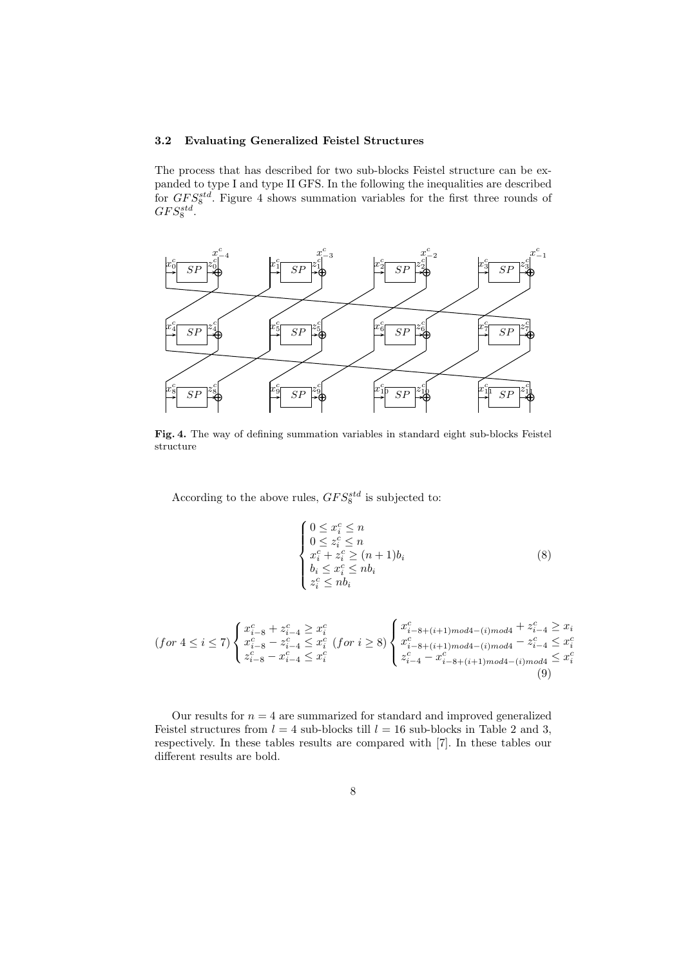# **3.2 Evaluating Generalized Feistel Structures**

The process that has described for two sub-blocks Feistel structure can be expanded to type I and type II GFS. In the following the inequalities are described for *GF S*<sup>*std*</sup>. Figure 4 shows summation variables for the first three rounds of  $GFS_8^{std}$ .



**Fig. 4.** The way of defining summation variables in standard eight sub-blocks Feistel structure

According to the above rules,  $GFS_8^{std}$  is subjected to:

$$
\begin{cases}\n0 \leq x_i^c \leq n \\
0 \leq z_i^c \leq n \\
x_i^c + z_i^c \geq (n+1)b_i \\
b_i \leq x_i^c \leq nb_i \\
z_i^c \leq nb_i\n\end{cases} \tag{8}
$$

$$
(for\ 4 \leq i \leq 7) \begin{cases} x_{i-8}^c + z_{i-4}^c \geq x_i^c \\ x_{i-8}^c - z_{i-4}^c \leq x_i^c \\ z_{i-8}^c - x_{i-4}^c \leq x_i^c \end{cases} (for\ i \geq 8) \begin{cases} x_{i-8+(i+1)mod4-(i)mod4}^c + z_{i-4}^c \geq x_i^c \\ x_{i-8+(i+1)mod4-(i)mod4}^c - z_{i-4}^c \leq x_i^c \\ z_{i-4}^c - x_{i-8+(i+1)mod4-(i)mod4}^c \leq x_i^c \end{cases}
$$
(9)

Our results for  $n = 4$  are summarized for standard and improved generalized Feistel structures from  $l = 4$  sub-blocks till  $l = 16$  sub-blocks in Table 2 and 3, respectively. In these tables results are compared with [7]. In these tables our different results are bold.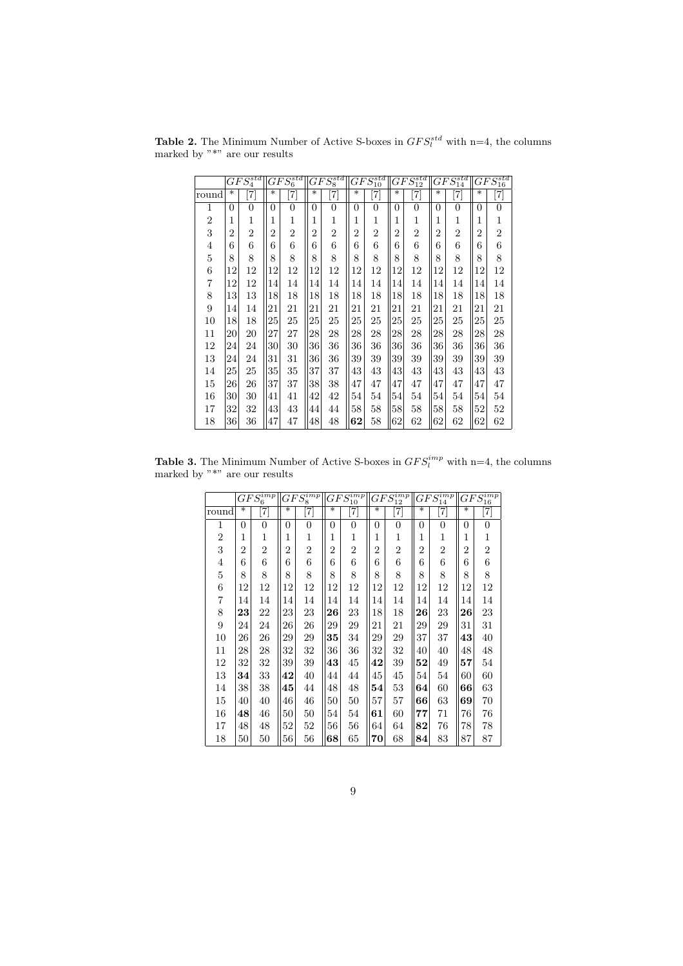**Table 2.** The Minimum Number of Active S-boxes in  $GFS_l^{std}$  with n=4, the columns marked by "\*" are our results

|                |                | $GFS_4^{std}$  |                | ${\overline{GFS_6^{std}}}$ |                | $GFS_8^{std}$                     |                | $GFS_{10}^{std}$                                                                                                                                                                                                                                    |                | ${\overline{GFS^{std}_{12}}}$ |                | $GFS_{14}^{std}$ |                | $GFS_{16}^{std}$  |
|----------------|----------------|----------------|----------------|----------------------------|----------------|-----------------------------------|----------------|-----------------------------------------------------------------------------------------------------------------------------------------------------------------------------------------------------------------------------------------------------|----------------|-------------------------------|----------------|------------------|----------------|-------------------|
| round          | $\ast$         | $\overline{7}$ | $\ast$         | 7]                         | $\ast$         | $\begin{bmatrix} 7 \end{bmatrix}$ | $\ast$         | $[7] \centering% \includegraphics[width=1\textwidth]{images/TransY.pdf} \caption{The first two different values of $d=3$ and $d=4$ (left) and $d=5$ (right) and $d=6$ (right). The first two different values of $d=2$ (right).} \label{fig:class}$ | $\ast$         | $\frac{1}{2}$                 | $\ast$         | 7]               | $\ast$         | $\left[ 7\right]$ |
| 1              | $\theta$       | $\overline{0}$ | $\theta$       | $\overline{0}$             | $\theta$       | $\overline{0}$                    | $\Omega$       | $\theta$                                                                                                                                                                                                                                            | $\theta$       | $\overline{0}$                | $\Omega$       | $\overline{0}$   | $\theta$       | $\overline{0}$    |
| $\overline{2}$ | 1              | 1              | 1              | 1                          | 1              | $\mathbf{1}$                      | 1              | 1                                                                                                                                                                                                                                                   | 1              | 1                             | 1              | 1                | 1              | 1                 |
| 3              | $\overline{2}$ | $\overline{2}$ | $\overline{2}$ | $\overline{2}$             | $\overline{2}$ | $\overline{2}$                    | $\overline{2}$ | $\overline{2}$                                                                                                                                                                                                                                      | $\overline{2}$ | $\overline{2}$                | $\overline{2}$ | $\overline{2}$   | $\overline{2}$ | $\overline{2}$    |
| 4              | 6              | 6              | 6              | 6                          | 6              | 6                                 | 6              | 6                                                                                                                                                                                                                                                   | 6              | 6                             | 6              | 6                | 6              | 6                 |
| 5              | 8              | 8              | 8              | 8                          | 8              | 8                                 | 8              | 8                                                                                                                                                                                                                                                   | 8              | 8                             | 8              | 8                | 8              | 8                 |
| 6              | 12             | 12             | 12             | 12                         | 12             | 12                                | 12             | 12                                                                                                                                                                                                                                                  | 12             | 12                            | 12             | 12               | 12             | 12                |
| $\overline{7}$ | 12             | 12             | 14             | 14                         | 14             | 14                                | 14             | 14                                                                                                                                                                                                                                                  | 14             | 14                            | 14             | 14               | 14             | 14                |
| 8              | 13             | 13             | 18             | 18                         | 18             | 18                                | 18             | 18                                                                                                                                                                                                                                                  | 18             | 18                            | 18             | 18               | 18             | 18                |
| 9              | 14             | 14             | 21             | 21                         | 21             | 21                                | 21             | 21                                                                                                                                                                                                                                                  | 21             | 21                            | 21             | 21               | 21             | 21                |
| 10             | 18             | 18             | 25             | 25                         | 25             | 25                                | 25             | 25                                                                                                                                                                                                                                                  | 25             | 25                            | 25             | 25               | 25             | 25                |
| 11             | 20             | 20             | 27             | 27                         | 28             | 28                                | 28             | 28                                                                                                                                                                                                                                                  | 28             | 28                            | 28             | 28               | 28             | 28                |
| 12             | 24             | 24             | 30             | 30                         | 36             | 36                                | 36             | 36                                                                                                                                                                                                                                                  | 36             | 36                            | 36             | 36               | 36             | 36                |
| 13             | 24             | 24             | 31             | 31                         | 36             | 36                                | 39             | 39                                                                                                                                                                                                                                                  | 39             | 39                            | 39             | 39               | 39             | 39                |
| 14             | 25             | 25             | 35             | 35                         | 37             | 37                                | 43             | 43                                                                                                                                                                                                                                                  | 43             | 43                            | 43             | 43               | 43             | 43                |
| 15             | 26             | 26             | 37             | 37                         | 38             | 38                                | 47             | 47                                                                                                                                                                                                                                                  | 47             | 47                            | 47             | 47               | 47             | 47                |
| 16             | 30             | 30             | 41             | 41                         | 42             | 42                                | 54             | 54                                                                                                                                                                                                                                                  | 54             | 54                            | 54             | 54               | 54             | 54                |
| 17             | 32             | 32             | 43             | 43                         | 44             | 44                                | 58             | 58                                                                                                                                                                                                                                                  | 58             | 58                            | 58             | 58               | 52             | 52                |
| 18             | 36             | 36             | 47             | 47                         | 48             | 48                                | 62             | 58                                                                                                                                                                                                                                                  | 62             | 62                            | 62             | 62               | 62             | 62                |

**Table 3.** The Minimum Number of Active S-boxes in  $GFS_l^{imp}$  with n=4, the columns marked by "\*" are our results

| $\overline{GFS_6^{imp}}$ |        | $\overline{GFS_8^{imp}}$ |                | $GFS^{imp}_{10}$<br>10 |                | $\overline{GFS_{12}^{imp}}$  |          | $GF\overline{S_{13}^{imp}}$<br>14 |                | $GF\overline{S_{\textit{1c}}^{imp}}$<br>16                                                                                                                                                                                                                                                            |                |                              |
|--------------------------|--------|--------------------------|----------------|------------------------|----------------|------------------------------|----------|-----------------------------------|----------------|-------------------------------------------------------------------------------------------------------------------------------------------------------------------------------------------------------------------------------------------------------------------------------------------------------|----------------|------------------------------|
| round                    | $\ast$ | 7]                       | $\ast$         | $\left[ 7\right]$      | $\ast$         | $\left\lceil 7 \right\rceil$ | $\ast$   | $\left[ 7\right]$                 | $\ast$         | $[7] \centering% \includegraphics[width=1.0\textwidth]{images/TrDiC-Architecture.png} \caption{The 3D (top) and the 4D (bottom) of the 3D (bottom) and the 4D (bottom) of the 3D (bottom) and the 4D (bottom) of the 3D (bottom) and the 4D (bottom) of the 3D (bottom).} \label{TrDiC-Architecture}$ | $\ast$         | $\left\lceil 7 \right\rceil$ |
| 1                        | 0      | $\overline{0}$           | $\theta$       | $\overline{0}$         | 0              | $\overline{0}$               | $\theta$ | $\overline{0}$                    | $\theta$       | $\overline{0}$                                                                                                                                                                                                                                                                                        | 0              | $\overline{0}$               |
| $\overline{2}$           | 1      | 1                        | 1              | 1                      | 1              | 1                            | 1        | 1                                 | 1              | 1                                                                                                                                                                                                                                                                                                     | 1              | 1                            |
| 3                        | 2      | $\overline{2}$           | $\overline{2}$ | $\overline{2}$         | $\overline{2}$ | $\overline{2}$               | 2        | $\overline{2}$                    | $\overline{2}$ | 2                                                                                                                                                                                                                                                                                                     | $\overline{2}$ | $\overline{2}$               |
| 4                        | 6      | 6                        | 6              | 6                      | 6              | 6                            | 6        | 6                                 | 6              | 6                                                                                                                                                                                                                                                                                                     | 6              | 6                            |
| 5                        | 8      | 8                        | 8              | 8                      | 8              | 8                            | 8        | 8                                 | 8              | 8                                                                                                                                                                                                                                                                                                     | 8              | 8                            |
| 6                        | 12     | 12                       | 12             | 12                     | 12             | 12                           | 12       | 12                                | 12             | 12                                                                                                                                                                                                                                                                                                    | 12             | 12                           |
| $\overline{7}$           | 14     | 14                       | 14             | 14                     | 14             | 14                           | 14       | 14                                | 14             | 14                                                                                                                                                                                                                                                                                                    | 14             | 14                           |
| 8                        | 23     | 22                       | 23             | 23                     | 26             | 23                           | 18       | 18                                | 26             | 23                                                                                                                                                                                                                                                                                                    | 26             | 23                           |
| 9                        | 24     | 24                       | 26             | 26                     | 29             | 29                           | 21       | 21                                | 29             | 29                                                                                                                                                                                                                                                                                                    | 31             | 31                           |
| 10                       | 26     | 26                       | 29             | 29                     | 35             | 34                           | 29       | 29                                | 37             | 37                                                                                                                                                                                                                                                                                                    | 43             | 40                           |
| 11                       | 28     | 28                       | 32             | 32                     | 36             | 36                           | 32       | 32                                | 40             | 40                                                                                                                                                                                                                                                                                                    | 48             | 48                           |
| 12                       | 32     | 32                       | 39             | 39                     | 43             | 45                           | 42       | 39                                | 52             | 49                                                                                                                                                                                                                                                                                                    | 57             | 54                           |
| 13                       | 34     | 33                       | 42             | 40                     | 44             | 44                           | 45       | 45                                | 54             | 54                                                                                                                                                                                                                                                                                                    | 60             | 60                           |
| 14                       | 38     | 38                       | 45             | 44                     | 48             | 48                           | 54       | 53                                | 64             | 60                                                                                                                                                                                                                                                                                                    | 66             | 63                           |
| 15                       | 40     | 40                       | 46             | 46                     | 50             | 50                           | 57       | 57                                | 66             | 63                                                                                                                                                                                                                                                                                                    | 69             | 70                           |
| 16                       | 48     | 46                       | 50             | 50                     | 54             | 54                           | 61       | 60                                | 77             | 71                                                                                                                                                                                                                                                                                                    | 76             | 76                           |
| 17                       | 48     | 48                       | 52             | 52                     | 56             | 56                           | 64       | 64                                | 82             | 76                                                                                                                                                                                                                                                                                                    | 78             | 78                           |
| 18                       | $50\,$ | 50                       | 56             | 56                     | 68             | 65                           | 70       | 68                                | 84             | 83                                                                                                                                                                                                                                                                                                    | 87             | 87                           |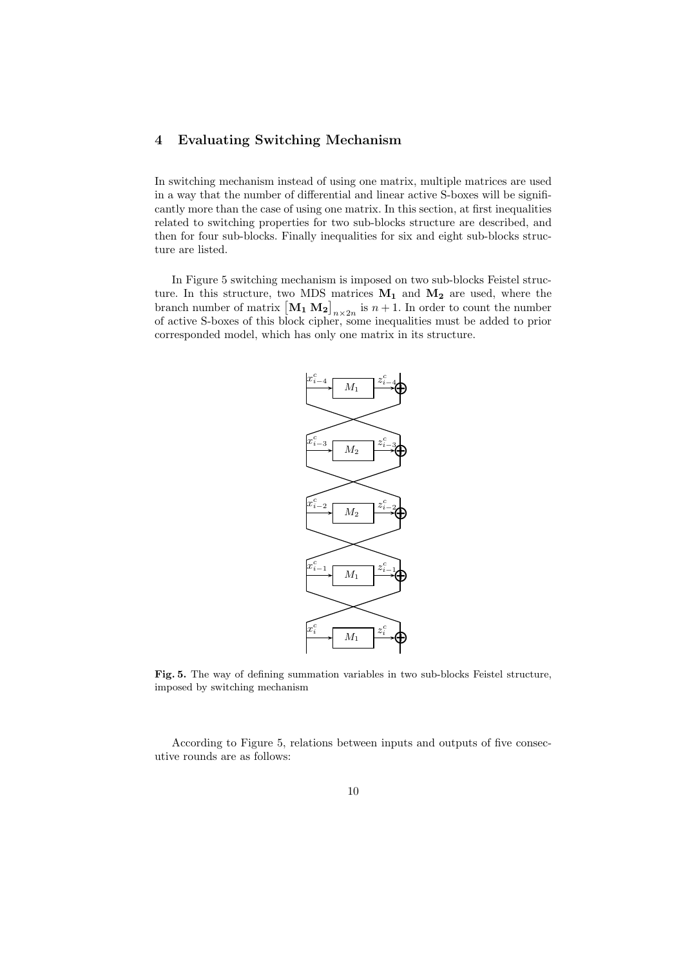# **4 Evaluating Switching Mechanism**

In switching mechanism instead of using one matrix, multiple matrices are used in a way that the number of differential and linear active S-boxes will be significantly more than the case of using one matrix. In this section, at first inequalities related to switching properties for two sub-blocks structure are described, and then for four sub-blocks. Finally inequalities for six and eight sub-blocks structure are listed.

In Figure 5 switching mechanism is imposed on two sub-blocks Feistel structure. In this structure, two MDS matrices **M<sup>1</sup>** and **M<sup>2</sup>** are used, where the branch number of matrix  $\left[\mathbf{M}_{1} \mathbf{M}_{2}\right]_{n \times 2n}$  is  $n+1$ . In order to count the number of active S-boxes of this block cipher, some inequalities must be added to prior corresponded model, which has only one matrix in its structure.



**Fig. 5.** The way of defining summation variables in two sub-blocks Feistel structure, imposed by switching mechanism

According to Figure 5, relations between inputs and outputs of five consecutive rounds are as follows: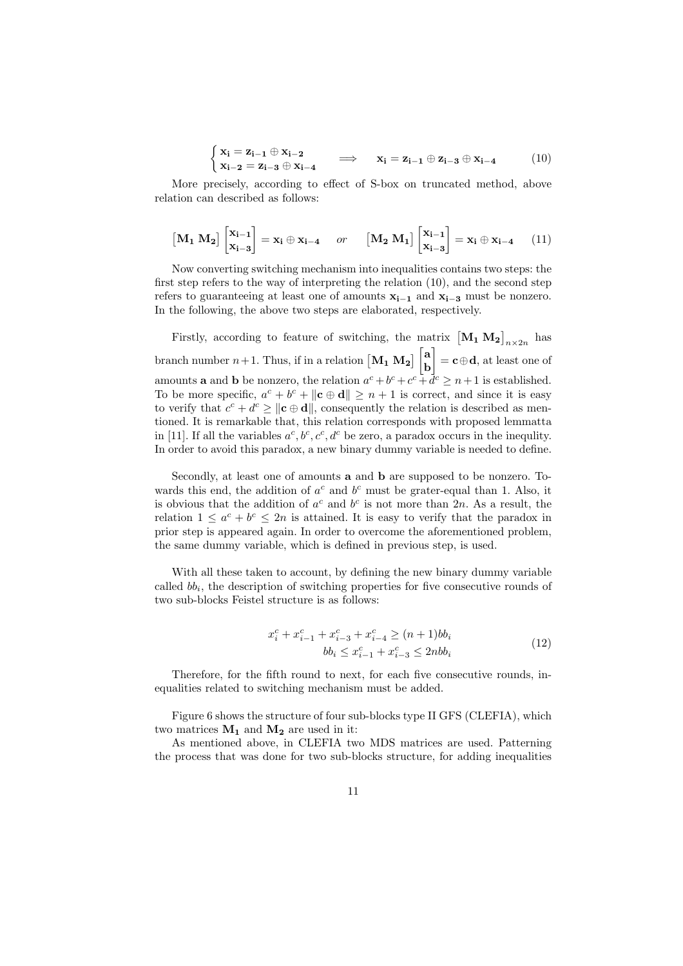$$
\begin{cases} \mathbf{x}_{i} = \mathbf{z}_{i-1} \oplus \mathbf{x}_{i-2} \\ \mathbf{x}_{i-2} = \mathbf{z}_{i-3} \oplus \mathbf{x}_{i-4} \end{cases} \implies \mathbf{x}_{i} = \mathbf{z}_{i-1} \oplus \mathbf{z}_{i-3} \oplus \mathbf{x}_{i-4} \tag{10}
$$

More precisely, according to effect of S-box on truncated method, above relation can described as follows:

$$
\begin{bmatrix} \mathbf{M_1} \ \mathbf{M_2} \end{bmatrix} \begin{bmatrix} \mathbf{x_{i-1}} \\ \mathbf{x_{i-3}} \end{bmatrix} = \mathbf{x_i} \oplus \mathbf{x_{i-4}} \quad or \quad \begin{bmatrix} \mathbf{M_2} \ \mathbf{M_1} \end{bmatrix} \begin{bmatrix} \mathbf{x_{i-1}} \\ \mathbf{x_{i-3}} \end{bmatrix} = \mathbf{x_i} \oplus \mathbf{x_{i-4}} \quad (11)
$$

Now converting switching mechanism into inequalities contains two steps: the first step refers to the way of interpreting the relation (10), and the second step refers to guaranteeing at least one of amounts **x<sup>i</sup>***−***<sup>1</sup>** and **x<sup>i</sup>***−***<sup>3</sup>** must be nonzero. In the following, the above two steps are elaborated, respectively.

Firstly, according to feature of switching, the matrix  $\left[\mathbf{M}_1 \mathbf{M}_2\right]_{n \times 2n}$  has branch number  $n+1$ . Thus, if in a relation  $\begin{bmatrix} \mathbf{M_1} & \mathbf{M_2} \end{bmatrix} \begin{bmatrix} \mathbf{a} \\ \mathbf{b} \end{bmatrix}$ **b** ] = **c***⊕***d**, at least one of amounts **a** and **b** be nonzero, the relation  $a^c + b^c + c^c + d^c \geq n+1$  is established. To be more specific,  $a^c + b^c + ||c \oplus d|| \geq n + 1$  is correct, and since it is easy to verify that  $c^c + d^c \ge ||c \oplus d||$ , consequently the relation is described as mentioned. It is remarkable that, this relation corresponds with proposed lemmatta in [11]. If all the variables  $a^c, b^c, c^c, d^c$  be zero, a paradox occurs in the inequlity. In order to avoid this paradox, a new binary dummy variable is needed to define.

Secondly, at least one of amounts **a** and **b** are supposed to be nonzero. Towards this end, the addition of  $a^c$  and  $b^c$  must be grater-equal than 1. Also, it is obvious that the addition of  $a^c$  and  $b^c$  is not more than 2*n*. As a result, the relation  $1 \leq a^c + b^c \leq 2n$  is attained. It is easy to verify that the paradox in prior step is appeared again. In order to overcome the aforementioned problem, the same dummy variable, which is defined in previous step, is used.

With all these taken to account, by defining the new binary dummy variable called *bb<sup>i</sup>* , the description of switching properties for five consecutive rounds of two sub-blocks Feistel structure is as follows:

$$
x_i^c + x_{i-1}^c + x_{i-3}^c + x_{i-4}^c \ge (n+1)bb_i
$$
  

$$
bb_i \le x_{i-1}^c + x_{i-3}^c \le 2nbb_i
$$
 (12)

Therefore, for the fifth round to next, for each five consecutive rounds, inequalities related to switching mechanism must be added.

Figure 6 shows the structure of four sub-blocks type II GFS (CLEFIA), which two matrices  $M_1$  and  $M_2$  are used in it:

As mentioned above, in CLEFIA two MDS matrices are used. Patterning the process that was done for two sub-blocks structure, for adding inequalities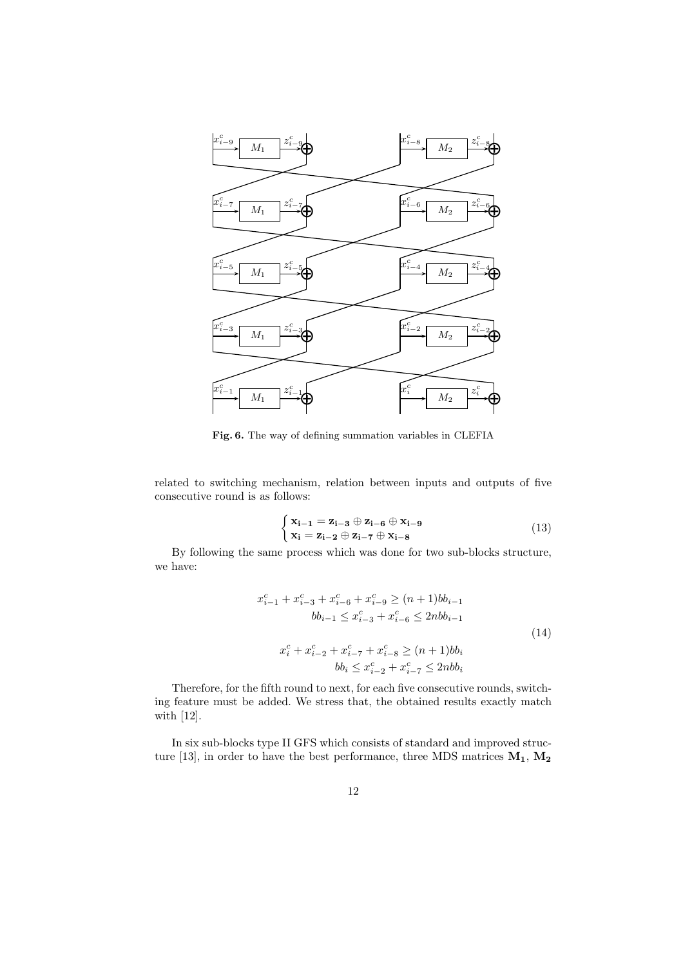

**Fig. 6.** The way of defining summation variables in CLEFIA

related to switching mechanism, relation between inputs and outputs of five consecutive round is as follows:

$$
\begin{cases} \mathbf{x}_{\mathbf{i}-\mathbf{1}} = \mathbf{z}_{\mathbf{i}-\mathbf{3}} \oplus \mathbf{z}_{\mathbf{i}-\mathbf{6}} \oplus \mathbf{x}_{\mathbf{i}-\mathbf{9}} \\ \mathbf{x}_{\mathbf{i}} = \mathbf{z}_{\mathbf{i}-\mathbf{2}} \oplus \mathbf{z}_{\mathbf{i}-\mathbf{7}} \oplus \mathbf{x}_{\mathbf{i}-\mathbf{8}} \end{cases}
$$
(13)

By following the same process which was done for two sub-blocks structure, we have:

$$
x_{i-1}^c + x_{i-3}^c + x_{i-6}^c + x_{i-9}^c \ge (n+1)bb_{i-1}
$$
  
\n
$$
bb_{i-1} \le x_{i-3}^c + x_{i-6}^c \le 2nbb_{i-1}
$$
  
\n
$$
x_i^c + x_{i-2}^c + x_{i-7}^c + x_{i-8}^c \ge (n+1)bb_i
$$
  
\n
$$
bb_i \le x_{i-2}^c + x_{i-7}^c \le 2nbb_i
$$
  
\n(14)

Therefore, for the fifth round to next, for each five consecutive rounds, switching feature must be added. We stress that, the obtained results exactly match with [12].

In six sub-blocks type II GFS which consists of standard and improved structure [13], in order to have the best performance, three MDS matrices **M1**, **M<sup>2</sup>**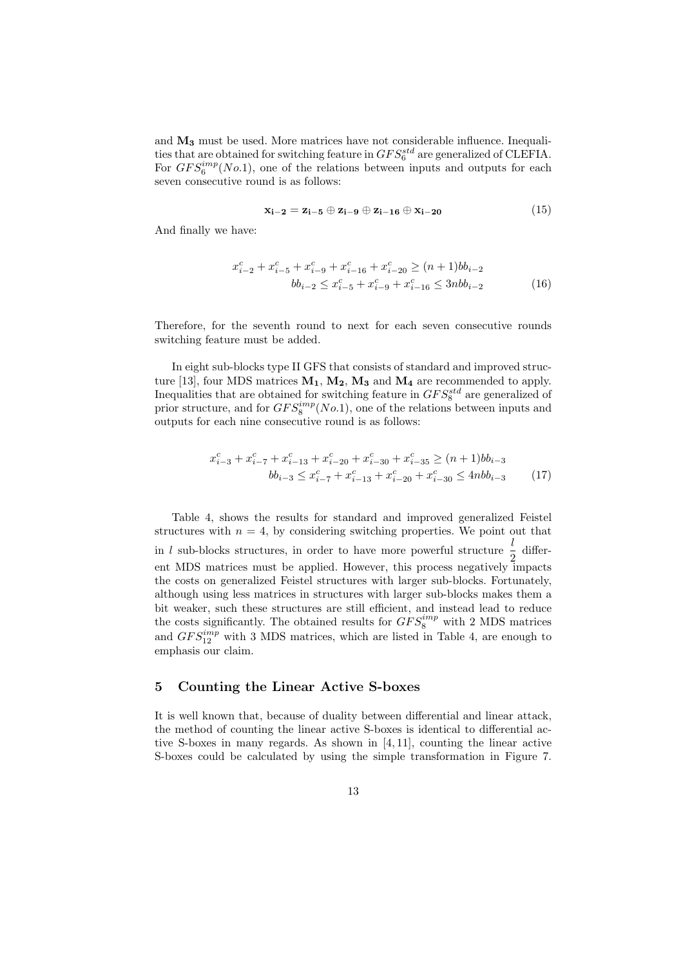and **M<sup>3</sup>** must be used. More matrices have not considerable influence. Inequalities that are obtained for switching feature in  $GFS_6^{std}$  are generalized of CLEFIA. For  $GFS_6^{imp}(No.1)$ , one of the relations between inputs and outputs for each seven consecutive round is as follows:

$$
\mathbf{x}_{\mathbf{i}-\mathbf{2}} = \mathbf{z}_{\mathbf{i}-\mathbf{5}} \oplus \mathbf{z}_{\mathbf{i}-\mathbf{9}} \oplus \mathbf{z}_{\mathbf{i}-\mathbf{16}} \oplus \mathbf{x}_{\mathbf{i}-\mathbf{20}} \tag{15}
$$

And finally we have:

$$
x_{i-2}^c + x_{i-5}^c + x_{i-9}^c + x_{i-16}^c + x_{i-20}^c \ge (n+1)bb_{i-2}
$$
  

$$
bb_{i-2} \le x_{i-5}^c + x_{i-9}^c + x_{i-16}^c \le 3nbb_{i-2}
$$
 (16)

Therefore, for the seventh round to next for each seven consecutive rounds switching feature must be added.

In eight sub-blocks type II GFS that consists of standard and improved structure [13], four MDS matrices **M1**, **M2**, **M<sup>3</sup>** and **M<sup>4</sup>** are recommended to apply. Inequalities that are obtained for switching feature in  $GFS_8^{std}$  are generalized of prior structure, and for  $GFS_8^{imp}(No.1)$ , one of the relations between inputs and outputs for each nine consecutive round is as follows:

$$
x_{i-3}^c + x_{i-7}^c + x_{i-13}^c + x_{i-20}^c + x_{i-30}^c + x_{i-35}^c \ge (n+1)bb_{i-3}
$$
  

$$
bb_{i-3} \le x_{i-7}^c + x_{i-13}^c + x_{i-20}^c + x_{i-30}^c \le 4nbb_{i-3}
$$
 (17)

Table 4, shows the results for standard and improved generalized Feistel structures with  $n = 4$ , by considering switching properties. We point out that in *l* sub-blocks structures, in order to have more powerful structure  $\frac{l}{2}$  different MDS matrices must be applied. However, this process negatively impacts the costs on generalized Feistel structures with larger sub-blocks. Fortunately, although using less matrices in structures with larger sub-blocks makes them a bit weaker, such these structures are still efficient, and instead lead to reduce the costs significantly. The obtained results for  $GFS_8^{imp}$  with 2 MDS matrices and  $GFS_{12}^{imp}$  with 3 MDS matrices, which are listed in Table 4, are enough to emphasis our claim.

## **5 Counting the Linear Active S-boxes**

It is well known that, because of duality between differential and linear attack, the method of counting the linear active S-boxes is identical to differential active S-boxes in many regards. As shown in [4, 11], counting the linear active S-boxes could be calculated by using the simple transformation in Figure 7.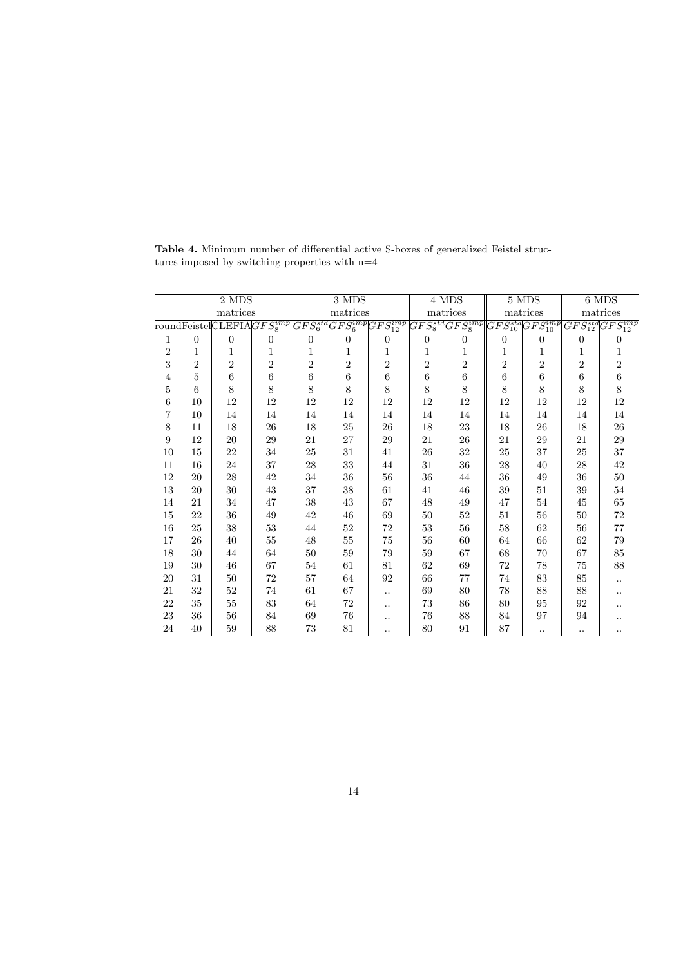|                | 2 MDS          |                                                                                                                                                      |                  |                | 3 MDS          |                | 4 MDS          |                | 5 MDS          |                                                                                                                                                         | 6 MDS          |                  |
|----------------|----------------|------------------------------------------------------------------------------------------------------------------------------------------------------|------------------|----------------|----------------|----------------|----------------|----------------|----------------|---------------------------------------------------------------------------------------------------------------------------------------------------------|----------------|------------------|
|                |                | matrices                                                                                                                                             |                  |                | matrices       |                |                | matrices       |                | matrices                                                                                                                                                | matrices       |                  |
|                |                | $\overline{\text{roundFeistel}}\overline{\text{CLEFIA}}\overline{GFS^{imp}_8}\overline{\left(GFS^{std}_6GFS^{imp}_6\overline{GFS^{imp}_{12}}\right.$ |                  |                |                |                |                |                |                | $\overline{GFS^{std}_8} \overline{GFS^{imp}_8} \overline{GFS^{std}_{10}} \overline{GFS^{imp}_{10}} \overline{GFS^{std}_{12}} \overline{GFS^{imp}_{12}}$ |                |                  |
| 1              | $\theta$       | $\overline{0}$                                                                                                                                       | $\boldsymbol{0}$ | $\overline{0}$ | $\overline{0}$ | 0              | $\overline{0}$ | $\overline{0}$ | $\overline{0}$ | $\theta$                                                                                                                                                | $\overline{0}$ | $\boldsymbol{0}$ |
| $\overline{2}$ | 1              | 1                                                                                                                                                    | 1                | 1              | 1              | 1              | 1              | 1              | 1              | 1                                                                                                                                                       | 1              | 1                |
| 3              | $\overline{2}$ | $\overline{2}$                                                                                                                                       | $\overline{2}$   | $\overline{2}$ | $\sqrt{2}$     | $\overline{2}$ | $\sqrt{2}$     | $\,2$          | $\overline{2}$ | $\overline{2}$                                                                                                                                          | $\overline{2}$ | $\sqrt{2}$       |
| 4              | 5              | 6                                                                                                                                                    | $\,6$            | 6              | $\,6$          | 6              | $\,6$          | $\,6$          | 6              | 6                                                                                                                                                       | $\,6$          | $\,6\,$          |
| $\overline{5}$ | 6              | 8                                                                                                                                                    | 8                | 8              | 8              | 8              | 8              | 8              | 8              | 8                                                                                                                                                       | 8              | 8                |
| 6              | 10             | 12                                                                                                                                                   | 12               | 12             | 12             | 12             | 12             | 12             | 12             | 12                                                                                                                                                      | 12             | $12\,$           |
| $\overline{7}$ | 10             | 14                                                                                                                                                   | 14               | 14             | 14             | 14             | 14             | 14             | 14             | 14                                                                                                                                                      | 14             | $14\,$           |
| 8              | 11             | 18                                                                                                                                                   | ${\bf 26}$       | 18             | $25\,$         | ${\bf 26}$     | $18\,$         | $23\,$         | 18             | ${\bf 26}$                                                                                                                                              | $18\,$         | $26\,$           |
| 9              | 12             | 20                                                                                                                                                   | 29               | 21             | $27\,$         | $\,29$         | 21             | $26\,$         | 21             | $\,29$                                                                                                                                                  | 21             | $\,29$           |
| 10             | 15             | 22                                                                                                                                                   | 34               | 25             | 31             | 41             | $26\,$         | 32             | 25             | 37                                                                                                                                                      | 25             | 37               |
| 11             | 16             | 24                                                                                                                                                   | 37               | 28             | 33             | 44             | 31             | 36             | 28             | 40                                                                                                                                                      | ${\bf 28}$     | 42               |
| 12             | 20             | 28                                                                                                                                                   | 42               | 34             | 36             | 56             | $36\,$         | 44             | 36             | 49                                                                                                                                                      | 36             | $50\,$           |
| 13             | 20             | $30\,$                                                                                                                                               | 43               | 37             | 38             | 61             | 41             | 46             | 39             | 51                                                                                                                                                      | $39\,$         | $54\,$           |
| 14             | 21             | 34                                                                                                                                                   | 47               | 38             | $43\,$         | 67             | 48             | 49             | 47             | 54                                                                                                                                                      | $45\,$         | 65               |
| 15             | 22             | 36                                                                                                                                                   | 49               | 42             | $\sqrt{46}$    | $69\,$         | $50\,$         | $52\,$         | 51             | 56                                                                                                                                                      | $50\,$         | $72\,$           |
| 16             | 25             | 38                                                                                                                                                   | $53\,$           | 44             | $52\,$         | 72             | 53             | 56             | 58             | 62                                                                                                                                                      | 56             | $77\,$           |
| 17             | 26             | 40                                                                                                                                                   | $55\,$           | 48             | 55             | 75             | 56             | 60             | 64             | 66                                                                                                                                                      | 62             | $79\,$           |
| 18             | 30             | 44                                                                                                                                                   | 64               | 50             | 59             | 79             | 59             | 67             | 68             | 70                                                                                                                                                      | 67             | 85               |
| 19             | 30             | 46                                                                                                                                                   | 67               | $54\,$         | 61             | 81             | 62             | 69             | 72             | 78                                                                                                                                                      | $75\,$         | 88               |
| 20             | 31             | $50\,$                                                                                                                                               | $\sqrt{72}$      | 57             | 64             | 92             | 66             | $77 \,$        | 74             | 83                                                                                                                                                      | $85\,$         | $\cdot$ .        |
| 21             | 32             | $52\,$                                                                                                                                               | 74               | 61             | 67             |                | 69             | $80\,$         | 78             | 88                                                                                                                                                      | 88             |                  |
| 22             | 35             | $55\,$                                                                                                                                               | 83               | 64             | 72             |                | 73             | $86\,$         | 80             | 95                                                                                                                                                      | 92             |                  |
| 23             | 36             | $56\,$                                                                                                                                               | 84               | 69             | 76             |                | 76             | 88             | 84             | 97                                                                                                                                                      | 94             | $\cdot$ .        |
| 24             | 40             | 59                                                                                                                                                   | 88               | 73             | $81\,$         |                | 80             | 91             | 87             | $\ddotsc$                                                                                                                                               | $\cdot$ .      |                  |

**Table 4.** Minimum number of differential active S-boxes of generalized Feistel structures imposed by switching properties with  $\mathbf{n}{=}\mathbf{4}$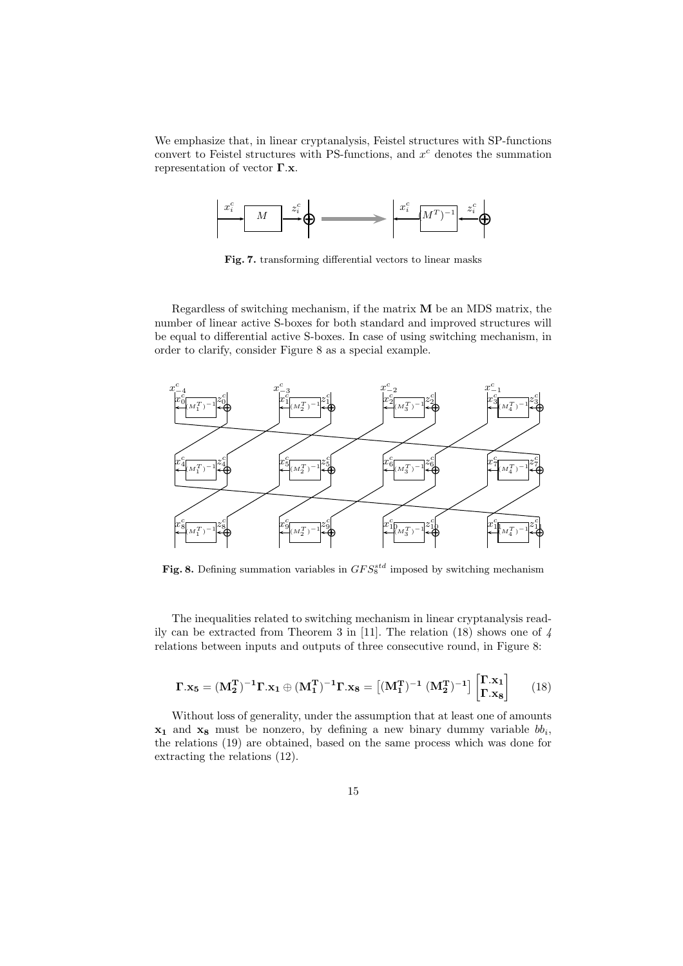We emphasize that, in linear cryptanalysis, Feistel structures with SP-functions convert to Feistel structures with PS-functions, and *x <sup>c</sup>* denotes the summation representation of vector **Γ***.***x**.



**Fig. 7.** transforming differential vectors to linear masks

Regardless of switching mechanism, if the matrix **M** be an MDS matrix, the number of linear active S-boxes for both standard and improved structures will be equal to differential active S-boxes. In case of using switching mechanism, in order to clarify, consider Figure 8 as a special example.



Fig. 8. Defining summation variables in  $GFS_8^{std}$  imposed by switching mechanism

The inequalities related to switching mechanism in linear cryptanalysis readily can be extracted from Theorem 3 in [11]. The relation (18) shows one of *4* relations between inputs and outputs of three consecutive round, in Figure 8:

$$
\Gamma . x_5 = (M_2^T)^{-1} \Gamma . x_1 \oplus (M_1^T)^{-1} \Gamma . x_8 = \left[ (M_1^T)^{-1} \left( M_2^T \right)^{-1} \right] \begin{bmatrix} \Gamma . x_1 \\ \Gamma . x_8 \end{bmatrix} \tag{18}
$$

Without loss of generality, under the assumption that at least one of amounts **x<sup>1</sup>** and **x<sup>8</sup>** must be nonzero, by defining a new binary dummy variable *bb<sup>i</sup>* , the relations (19) are obtained, based on the same process which was done for extracting the relations (12).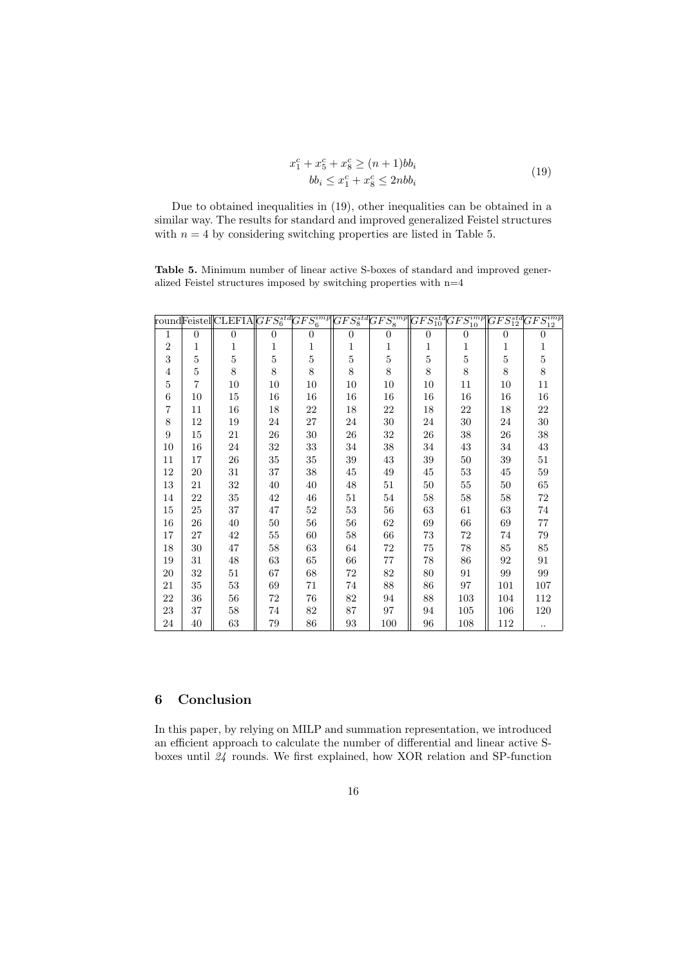$$
x_1^c + x_5^c + x_8^c \ge (n+1)bb_i
$$
  

$$
bb_i \le x_1^c + x_8^c \le 2nbb_i
$$
 (19)

Due to obtained inequalities in (19), other inequalities can be obtained in a similar way. The results for standard and improved generalized Feistel structures with  $n = 4$  by considering switching properties are listed in Table 5.

**Table 5.** Minimum number of linear active S-boxes of standard and improved generalized Feistel structures imposed by switching properties with n=4

|                |                | $[\text{roundFeistel}]\text{CLEFIA}   GFS_6^{std} GFS_6^{imp}   GFS_8^{std} GFS_8^{imp}   GFS_{10}^{std}   GFS_{10}^{sing}   GFS_{12}^{std} GFS_{12}^{imp}  $ |                |                |                |                |                |                  |                |                |
|----------------|----------------|---------------------------------------------------------------------------------------------------------------------------------------------------------------|----------------|----------------|----------------|----------------|----------------|------------------|----------------|----------------|
| $\mathbf{1}$   | $\overline{0}$ | $\overline{0}$                                                                                                                                                | $\overline{0}$ | $\overline{0}$ | $\overline{0}$ | $\overline{0}$ | $\overline{0}$ | $\boldsymbol{0}$ | $\overline{0}$ | $\overline{0}$ |
| $\overline{2}$ | 1              | 1                                                                                                                                                             | 1              | 1              | 1              | 1              | 1              | 1                | 1              | 1              |
| 3              | $\overline{5}$ | $\overline{5}$                                                                                                                                                | $\overline{5}$ | $\overline{5}$ | $\overline{5}$ | $\overline{5}$ | $\overline{5}$ | $\overline{5}$   | $\overline{5}$ | $\overline{5}$ |
| $\overline{4}$ | $\overline{5}$ | 8                                                                                                                                                             | 8              | $8\,$          | 8              | 8              | 8              | 8                | 8              | 8              |
| 5              | $\overline{7}$ | 10                                                                                                                                                            | 10             | 10             | 10             | 10             | 10             | 11               | 10             | 11             |
| 6              | 10             | 15                                                                                                                                                            | 16             | 16             | 16             | 16             | 16             | 16               | 16             | 16             |
| $\overline{7}$ | 11             | 16                                                                                                                                                            | 18             | 22             | 18             | 22             | 18             | 22               | 18             | 22             |
| 8              | 12             | 19                                                                                                                                                            | 24             | 27             | 24             | 30             | 24             | $30\,$           | 24             | 30             |
| 9              | 15             | 21                                                                                                                                                            | 26             | $30\,$         | 26             | 32             | 26             | 38               | 26             | 38             |
| 10             | 16             | 24                                                                                                                                                            | 32             | 33             | 34             | 38             | 34             | 43               | 34             | 43             |
| 11             | 17             | 26                                                                                                                                                            | $35\,$         | 35             | 39             | 43             | 39             | $50\,$           | 39             | 51             |
| 12             | 20             | 31                                                                                                                                                            | 37             | 38             | 45             | 49             | 45             | $53\,$           | 45             | $59\,$         |
| 13             | 21             | 32                                                                                                                                                            | 40             | 40             | 48             | 51             | 50             | $55\,$           | 50             | 65             |
| 14             | 22             | 35                                                                                                                                                            | 42             | 46             | 51             | 54             | 58             | 58               | 58             | 72             |
| 15             | 25             | 37                                                                                                                                                            | 47             | $52\,$         | 53             | 56             | 63             | 61               | 63             | 74             |
| 16             | $26\,$         | 40                                                                                                                                                            | 50             | 56             | 56             | 62             | 69             | 66               | 69             | 77             |
| 17             | 27             | 42                                                                                                                                                            | $55\,$         | 60             | 58             | 66             | 73             | 72               | 74             | 79             |
| 18             | $30\,$         | 47                                                                                                                                                            | 58             | 63             | 64             | 72             | 75             | 78               | 85             | 85             |
| 19             | 31             | 48                                                                                                                                                            | 63             | 65             | 66             | 77             | 78             | 86               | 92             | 91             |
| 20             | 32             | 51                                                                                                                                                            | 67             | 68             | 72             | 82             | 80             | 91               | 99             | 99             |
| 21             | 35             | 53                                                                                                                                                            | 69             | 71             | 74             | 88             | 86             | 97               | 101            | 107            |
| 22             | 36             | 56                                                                                                                                                            | 72             | 76             | 82             | 94             | 88             | 103              | 104            | 112            |
| 23             | 37             | 58                                                                                                                                                            | 74             | 82             | 87             | 97             | 94             | 105              | 106            | 120            |
| 24             | 40             | 63                                                                                                                                                            | 79             | 86             | 93             | 100            | 96             | 108              | 112            | $\ldots$       |

# **6 Conclusion**

In this paper, by relying on MILP and summation representation, we introduced an efficient approach to calculate the number of differential and linear active Sboxes until *24* rounds. We first explained, how XOR relation and SP-function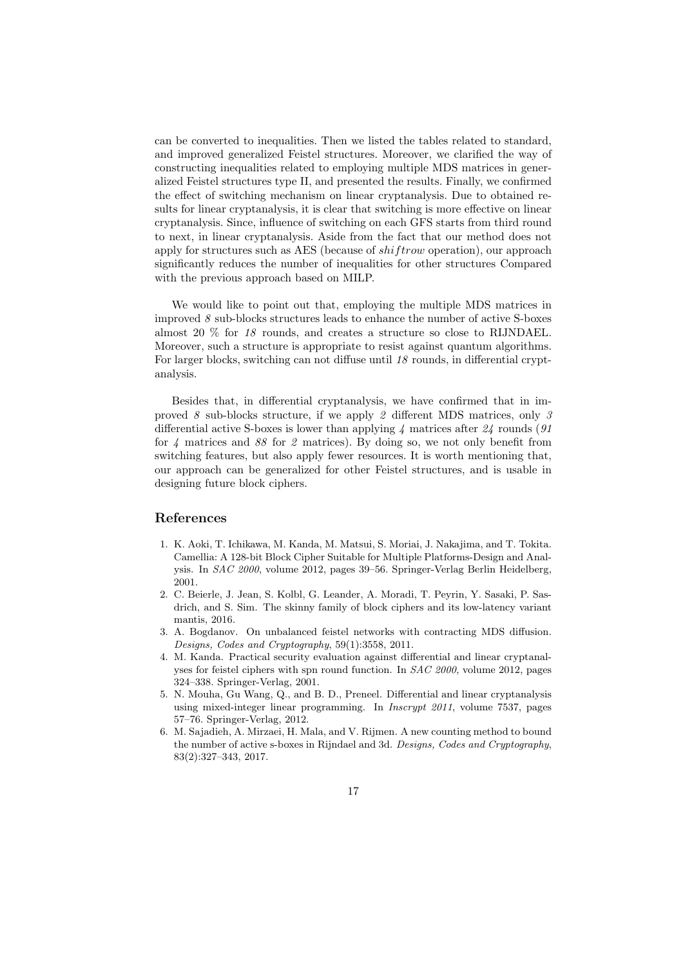can be converted to inequalities. Then we listed the tables related to standard, and improved generalized Feistel structures. Moreover, we clarified the way of constructing inequalities related to employing multiple MDS matrices in generalized Feistel structures type II, and presented the results. Finally, we confirmed the effect of switching mechanism on linear cryptanalysis. Due to obtained results for linear cryptanalysis, it is clear that switching is more effective on linear cryptanalysis. Since, influence of switching on each GFS starts from third round to next, in linear cryptanalysis. Aside from the fact that our method does not apply for structures such as AES (because of *shif trow* operation), our approach significantly reduces the number of inequalities for other structures Compared with the previous approach based on MILP.

We would like to point out that, employing the multiple MDS matrices in improved  $\delta$  sub-blocks structures leads to enhance the number of active S-boxes almost 20 % for *18* rounds, and creates a structure so close to RIJNDAEL. Moreover, such a structure is appropriate to resist against quantum algorithms. For larger blocks, switching can not diffuse until *18* rounds, in differential cryptanalysis.

Besides that, in differential cryptanalysis, we have confirmed that in improved *8* sub-blocks structure, if we apply *2* different MDS matrices, only *3* differential active S-boxes is lower than applying *4* matrices after *24* rounds (*91* for *4* matrices and *88* for *2* matrices). By doing so, we not only benefit from switching features, but also apply fewer resources. It is worth mentioning that, our approach can be generalized for other Feistel structures, and is usable in designing future block ciphers.

## **References**

- 1. K. Aoki, T. Ichikawa, M. Kanda, M. Matsui, S. Moriai, J. Nakajima, and T. Tokita. Camellia: A 128-bit Block Cipher Suitable for Multiple Platforms-Design and Analysis. In *SAC 2000*, volume 2012, pages 39–56. Springer-Verlag Berlin Heidelberg, 2001.
- 2. C. Beierle, J. Jean, S. Kolbl, G. Leander, A. Moradi, T. Peyrin, Y. Sasaki, P. Sasdrich, and S. Sim. The skinny family of block ciphers and its low-latency variant mantis, 2016.
- 3. A. Bogdanov. On unbalanced feistel networks with contracting MDS diffusion. *Designs, Codes and Cryptography*, 59(1):3558, 2011.
- 4. M. Kanda. Practical security evaluation against differential and linear cryptanalyses for feistel ciphers with spn round function. In *SAC 2000*, volume 2012, pages 324–338. Springer-Verlag, 2001.
- 5. N. Mouha, Gu Wang, Q., and B. D., Preneel. Differential and linear cryptanalysis using mixed-integer linear programming. In *Inscrypt 2011*, volume 7537, pages 57–76. Springer-Verlag, 2012.
- 6. M. Sajadieh, A. Mirzaei, H. Mala, and V. Rijmen. A new counting method to bound the number of active s-boxes in Rijndael and 3d. *Designs, Codes and Cryptography*, 83(2):327–343, 2017.